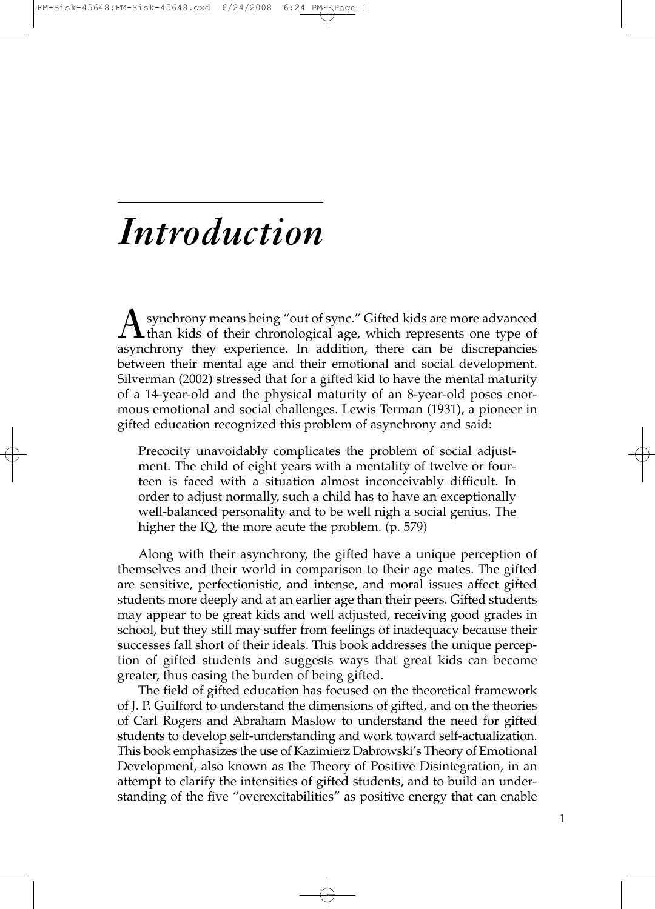## *Introduction*

Asynchrony means being "out of sync." Gifted kids are more advanced than kids of their chronological age, which represents one type of asynchrony they experience. In addition, there can be discrepancies between their mental age and their emotional and social development. Silverman (2002) stressed that for a gifted kid to have the mental maturity of a 14-year-old and the physical maturity of an 8-year-old poses enormous emotional and social challenges. Lewis Terman (1931), a pioneer in gifted education recognized this problem of asynchrony and said:

Precocity unavoidably complicates the problem of social adjustment. The child of eight years with a mentality of twelve or fourteen is faced with a situation almost inconceivably difficult. In order to adjust normally, such a child has to have an exceptionally well-balanced personality and to be well nigh a social genius. The higher the IQ, the more acute the problem. (p. 579)

Along with their asynchrony, the gifted have a unique perception of themselves and their world in comparison to their age mates. The gifted are sensitive, perfectionistic, and intense, and moral issues affect gifted students more deeply and at an earlier age than their peers. Gifted students may appear to be great kids and well adjusted, receiving good grades in school, but they still may suffer from feelings of inadequacy because their successes fall short of their ideals. This book addresses the unique perception of gifted students and suggests ways that great kids can become greater, thus easing the burden of being gifted.

The field of gifted education has focused on the theoretical framework of J. P. Guilford to understand the dimensions of gifted, and on the theories of Carl Rogers and Abraham Maslow to understand the need for gifted students to develop self-understanding and work toward self-actualization. This book emphasizes the use of Kazimierz Dabrowski's Theory of Emotional Development, also known as the Theory of Positive Disintegration, in an attempt to clarify the intensities of gifted students, and to build an understanding of the five "overexcitabilities" as positive energy that can enable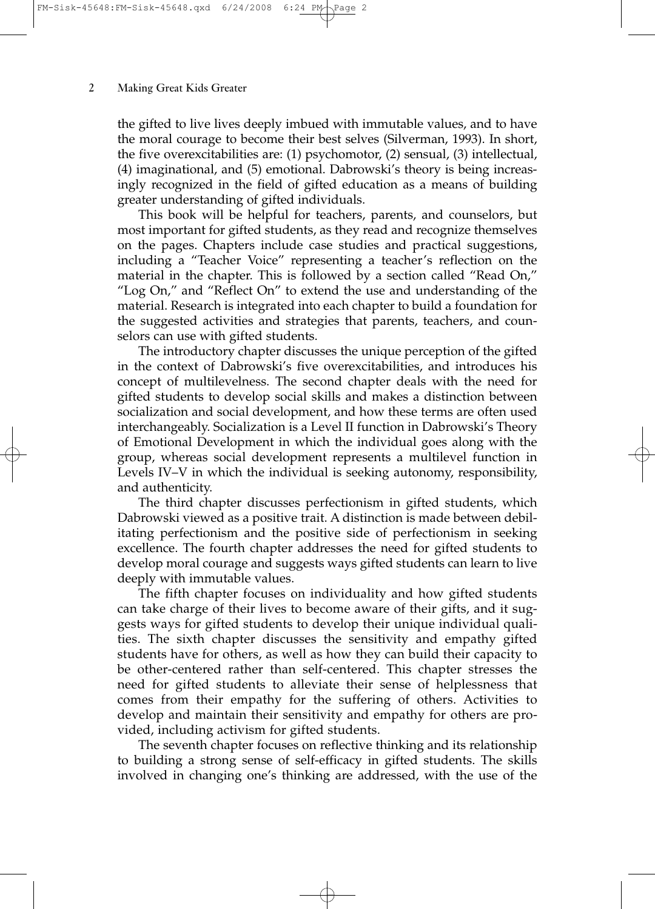the gifted to live lives deeply imbued with immutable values, and to have the moral courage to become their best selves (Silverman, 1993). In short, the five overexcitabilities are: (1) psychomotor, (2) sensual, (3) intellectual, (4) imaginational, and (5) emotional. Dabrowski's theory is being increasingly recognized in the field of gifted education as a means of building greater understanding of gifted individuals.

This book will be helpful for teachers, parents, and counselors, but most important for gifted students, as they read and recognize themselves on the pages. Chapters include case studies and practical suggestions, including a "Teacher Voice" representing a teacher's reflection on the material in the chapter. This is followed by a section called "Read On," "Log On," and "Reflect On" to extend the use and understanding of the material. Research is integrated into each chapter to build a foundation for the suggested activities and strategies that parents, teachers, and counselors can use with gifted students.

The introductory chapter discusses the unique perception of the gifted in the context of Dabrowski's five overexcitabilities, and introduces his concept of multilevelness. The second chapter deals with the need for gifted students to develop social skills and makes a distinction between socialization and social development, and how these terms are often used interchangeably. Socialization is a Level II function in Dabrowski's Theory of Emotional Development in which the individual goes along with the group, whereas social development represents a multilevel function in Levels IV–V in which the individual is seeking autonomy, responsibility, and authenticity.

The third chapter discusses perfectionism in gifted students, which Dabrowski viewed as a positive trait. A distinction is made between debilitating perfectionism and the positive side of perfectionism in seeking excellence. The fourth chapter addresses the need for gifted students to develop moral courage and suggests ways gifted students can learn to live deeply with immutable values.

The fifth chapter focuses on individuality and how gifted students can take charge of their lives to become aware of their gifts, and it suggests ways for gifted students to develop their unique individual qualities. The sixth chapter discusses the sensitivity and empathy gifted students have for others, as well as how they can build their capacity to be other-centered rather than self-centered. This chapter stresses the need for gifted students to alleviate their sense of helplessness that comes from their empathy for the suffering of others. Activities to develop and maintain their sensitivity and empathy for others are provided, including activism for gifted students.

The seventh chapter focuses on reflective thinking and its relationship to building a strong sense of self-efficacy in gifted students. The skills involved in changing one's thinking are addressed, with the use of the